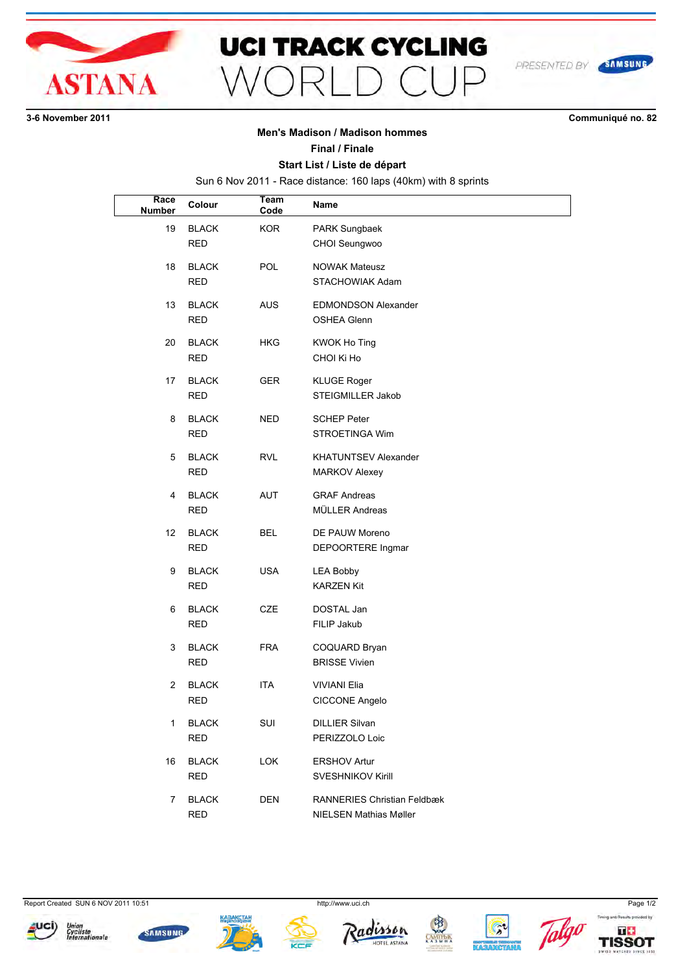

## **UCI TRACK CYCLING**  $\bigcap$  $\bigcap$  $\supset$  $M\cap F$

**36 November 2011 Communiqué no. 82**

SAMSUNG

PRESENTED BY

### **Men's Madison / Madison hommes**

#### **Final / Finale**

#### **Start List / Liste de départ**

Sun 6 Nov 2011 - Race distance: 160 laps (40km) with 8 sprints

| Race<br><b>Number</b> | Colour                     | <b>Team</b><br>Code | Name                                                                |
|-----------------------|----------------------------|---------------------|---------------------------------------------------------------------|
| 19                    | <b>BLACK</b><br><b>RED</b> | KOR.                | PARK Sungbaek<br>CHOI Seungwoo                                      |
| 18                    | <b>BLACK</b><br><b>RED</b> | POL                 | <b>NOWAK Mateusz</b><br>STACHOWIAK Adam                             |
| 13                    | <b>BLACK</b><br><b>RED</b> | AUS                 | <b>EDMONDSON Alexander</b><br><b>OSHEA Glenn</b>                    |
| 20                    | <b>BLACK</b><br><b>RED</b> | <b>HKG</b>          | KWOK Ho Ting<br>CHOI Ki Ho                                          |
| 17                    | <b>BLACK</b><br><b>RED</b> | GER                 | <b>KLUGE Roger</b><br>STEIGMILLER Jakob                             |
| 8                     | <b>BLACK</b><br><b>RED</b> | NED                 | <b>SCHEP Peter</b><br><b>STROETINGA Wim</b>                         |
| 5                     | <b>BLACK</b><br><b>RED</b> | RVL                 | <b>KHATUNTSEV Alexander</b><br><b>MARKOV Alexey</b>                 |
| 4                     | <b>BLACK</b><br><b>RED</b> | AUT                 | <b>GRAF Andreas</b><br>MÜLLER Andreas                               |
| 12                    | <b>BLACK</b><br><b>RED</b> | BEL                 | DE PAUW Moreno<br>DEPOORTERE Ingmar                                 |
| 9                     | <b>BLACK</b><br><b>RED</b> | <b>USA</b>          | <b>LEA Bobby</b><br><b>KARZEN Kit</b>                               |
| 6                     | <b>BLACK</b><br><b>RED</b> | CZE                 | DOSTAL Jan<br>FILIP Jakub                                           |
| 3                     | <b>BLACK</b><br><b>RED</b> | <b>FRA</b>          | COQUARD Bryan<br><b>BRISSE Vivien</b>                               |
| 2                     | <b>BLACK</b><br><b>RED</b> | ITA                 | <b>VIVIANI Elia</b><br>CICCONE Angelo                               |
| $\mathbf{1}$          | <b>BLACK</b><br><b>RED</b> | SUI                 | <b>DILLIER Silvan</b><br>PERIZZOLO Loic                             |
| 16                    | <b>BLACK</b><br>RED        | <b>LOK</b>          | <b>ERSHOV Artur</b><br><b>SVESHNIKOV Kirill</b>                     |
| $\overline{7}$        | <b>BLACK</b><br><b>RED</b> | DEN                 | <b>RANNERIES Christian Feldbæk</b><br><b>NIELSEN Mathias Møller</b> |

Report Created SUN 6 NOV 2011 10:51 http://www.uci.ch http://www.uci.ch Page 1/2

















Timing and Results pro

 $T+$